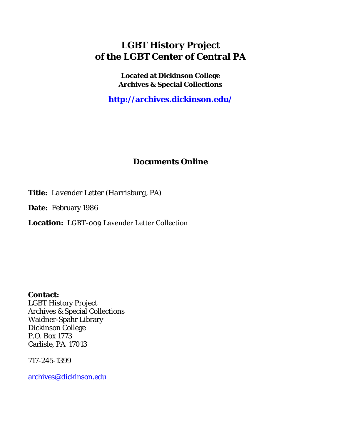## **LGBT History Project of the LGBT Center of Central PA**

**Located at Dickinson College Archives & Special Collections**

**<http://archives.dickinson.edu/>**

## **Documents Online**

**Title:** *Lavender Letter (Harrisburg, PA)*

**Date:** February 1986

**Location:** LGBT-009 Lavender Letter Collection

**Contact:**  LGBT History Project Archives & Special Collections Waidner-Spahr Library Dickinson College P.O. Box 1773 Carlisle, PA 17013

717-245-1399

[archives@dickinson.edu](mailto:archives@dickinson.edu)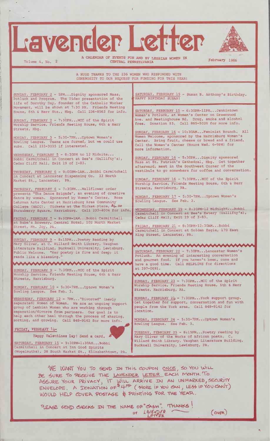## Lavender Letter

A CALENDAR OF EVENTS FOR AND BY LESBIAN WOMEN IN THE PEDTUATY 1986<br>CENTRAL PENNSYLVANIA

A HUGE THANKS TO THE 236 WOMEN WHO RESPONDED WITH GENEROSITY TO OUR REQUEST FOR FUNDING FOR THIS YEAR!

SUNDAY, FEBRUARY <sup>2</sup> - 5PM...Dignity sponsored Mass, Potluck and Program. The Video presentation of the life of Dorothy Day, founder of the Catholic Worker Movement, will be shown at 7:30 PM. Friends Meeting House, 6th & Herr Sts., Hbg. Call 236-8563 for info.

SUNDAY, FEBRUARY 2 - 7:30PM...MCC of the Spirit Worship Service, Friends Meeting House, 6th & Herr Streets, Hbg.

MONDAY, FEBRUARY 3 - 5:30-7PM...Uptown Women's Bowling League. Teams are formed, but we could use subs. Call 233-3035 if interested.

WEDNESDAY, FEBRUARY 5 - 8:30PM to 12 Midnite... Bobbi Carmitchell in Concert at Zee's (Gullifty's), Cedar Cliff Mall, Exit 19 of 1-83.

THURSDAY, FEBRUARY 6 - 9:00PM-1AM...Bobbi Carmitchell Concert at Lancaster Dispensing Co. 33 North Market St., Lancaster, PA.

THURSDAY, FEBRUARY 6 - 7:30PM...Wallflower order presents "The Dance Brigade", an evening of creative dance by women. Sponsored by Women's Center. Rose Lehrman Arts Center at Harrisburg Area Community College (HACC). Tickets at The Ticket Place, Pb.00 Strawberry Square, Harrisburg. Call 233-4004 for info.

FRIDAY, FEBRUARY 7 - 9:30PM-1AM...Bobbi Carmitchell at Bube's Brewery, Central Hotel, 102 North Market Street, Mt. Joy, PA.

mmmmmmmmm

SUNDAY, FEBRUARY 9 - 8:15PM...Poetry Reading by Mary Oliver, at C. Willard Smith Library, Vaughan Literature Building, Bucknell University, Lewisburg. Public Welcome. "Her poetry is fine and deep; it reads like a blessing.

wwwwwwwww

SUNDAY, FEBRUARY 9 - 7:30PM...MCC of the Spirit Worship Service, Friends Meeting House, 6th & Herr Streets, Harrisburg.

MONDAY, FEBRUARY 10 - 5:30-7PM...Uptown Women's Bowling League. See Feb. 3.

WEDNESDAY, FEBRUARY 12 - 7PM..."Divorced" (newly separated) Women of Women. We are an ongoing support group of Lesbian Women who are working through separation/divorce from partners. Our goal is to help each other heal through the process of sharing, sorting, and growing. Call 848-9142 for more info.

FRIDAY, FEBRUARY 14-

Happy Valentines Day! Send a card, SATURDAY, FEBRUARY 15 - 9:30PM-1:30AM...Bobbi

Carmitchell in Concert at Inn Good Spirits (Wogelmuths), 28 South Market St., Elizabethtown, PA. ATURDAY, FEBRUARY 15 - Susan B. Anthony's Birthday. APPY BIRTHDAY SUSAN!

SATURDAY, FEBRUARY 15 - 6:30PM-11PM...Jenkintown Women's Potluck, at Women's Center on Greenwood Ave. and Meetinghouse Rd. Drug, smoke and alcohol free. Donation \$3. Call 885-5020 for more info.

SUNDAY, FEBRUARY 16 - 10:30AM...Feminist Brunch. All Women Welcome, sponsored by the Harrisburg Women's Center. Bring fruit, cheese or bread and a friend. Call the Women's Center (Hours Wed. 6-9PM) for more information.

SUNDAY, FEBRUARY 16 - 5:30PM...Dignity sponsored Mass at St. Patrick's Cathedral, Hbg. Get together afterward, meet in the Southwest Corner of the vestibule to go somewhere for coffee and conversation.

SUNDAY, FEBRUARY 16 - 7:30PM...MCC of the Spirit Worship Service, Friends Meeting House, 6th & Herr Streets, Harrisburg, PA.

MONDAY, FEBRUARY 17 - 5:30-7PM...Uptown Women's<br>Bowling League. See Feb. 3. Bowling League.

WEDNESDAY, FEBRUARY 19 - 8:30PM-12 Midnight-- Bobbi Carmitchell in Concert at Zee's Eatery (Gullifty's), Cedar Cliff Mall, Exit 19 of 1-83.

FRIDAY, FEBRUARY 21 - 8:30PM-12:30AM...Bobbi Carmitchell in Concert at Golden Eagle, 170 East King Street, Lancaster, PA.

SATURDAY, FEBRUARY 22 - 7:30PM...Lancaster Women's Potluck. An evening of interesting conversation and gourmet food. If you haven't been, come and have a good time. Call HELPLINE for directions at 397-0691.

wwwwwwwww

SUNDAY, FEBRUARY 23 - 7:30PM...MCC of the Spirit Worship Service, Friends Meeting House, 6th & Herr Streets, Harrisburg, PA.

wwwwwwwwww

MONDAY, FEBRUARY 2U - 7:30PM...York support group. Get together for support, conversation and fun with people from the York area. Call 848-9142 for location.

MONDAY, FEBRUARY 24 - 5:30-7PM...Uptown Women's Bowling League.

TUESDAY, FEBRUARY 25 - 8:15PM...Poetry reading by Mary Oliver of the Works of African poets. C. Willard Smith Library, Vaughan Literature Building, Bucknell University, Lewisburg, PA.

WE WANT YOU TO SEND IN THIS COUPON ONCE, SO YOU WILL BE SURE TO RECEIVE THE LAVENDER LETTER EACH MONTH. To ASSURE YOUR PRIVACY, IT WILL ARRIVE IN AN UNMARKED, SECURITY ENVELOPE. A DONATION OF<sup>\$409</sup> (MORE IF YOU CAN, LESS IF YOU CAN'T) WOULD HELP COVER POSTAGE & PRINTING FOR THE YEAR.

PLEASE SEND CHECKS IN THE NAME OF "CASH". THANKS!

 $(oyqn)$